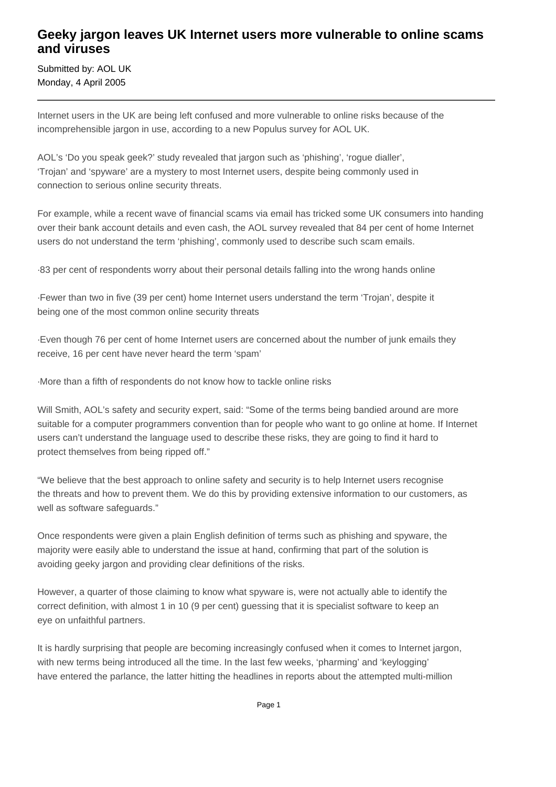## **Geeky jargon leaves UK Internet users more vulnerable to online scams and viruses**

Submitted by: AOL UK Monday, 4 April 2005

Internet users in the UK are being left confused and more vulnerable to online risks because of the incomprehensible jargon in use, according to a new Populus survey for AOL UK.

AOL's 'Do you speak geek?' study revealed that jargon such as 'phishing', 'rogue dialler', 'Trojan' and 'spyware' are a mystery to most Internet users, despite being commonly used in connection to serious online security threats.

For example, while a recent wave of financial scams via email has tricked some UK consumers into handing over their bank account details and even cash, the AOL survey revealed that 84 per cent of home Internet users do not understand the term 'phishing', commonly used to describe such scam emails.

· 83 per cent of respondents worry about their personal details falling into the wrong hands online

· Fewer than two in five (39 per cent) home Internet users understand the term 'Trojan', despite it being one of the most common online security threats

· Even though 76 per cent of home Internet users are concerned about the number of junk emails they receive, 16 per cent have never heard the term 'spam'

· More than a fifth of respondents do not know how to tackle online risks

Will Smith, AOL's safety and security expert, said: "Some of the terms being bandied around are more suitable for a computer programmers convention than for people who want to go online at home. If Internet users can't understand the language used to describe these risks, they are going to find it hard to protect themselves from being ripped off."

"We believe that the best approach to online safety and security is to help Internet users recognise the threats and how to prevent them. We do this by providing extensive information to our customers, as well as software safeguards."

Once respondents were given a plain English definition of terms such as phishing and spyware, the majority were easily able to understand the issue at hand, confirming that part of the solution is avoiding geeky jargon and providing clear definitions of the risks.

However, a quarter of those claiming to know what spyware is, were not actually able to identify the correct definition, with almost 1 in 10 (9 per cent) guessing that it is specialist software to keep an eye on unfaithful partners.

It is hardly surprising that people are becoming increasingly confused when it comes to Internet jargon, with new terms being introduced all the time. In the last few weeks, 'pharming' and 'keylogging' have entered the parlance, the latter hitting the headlines in reports about the attempted multi-million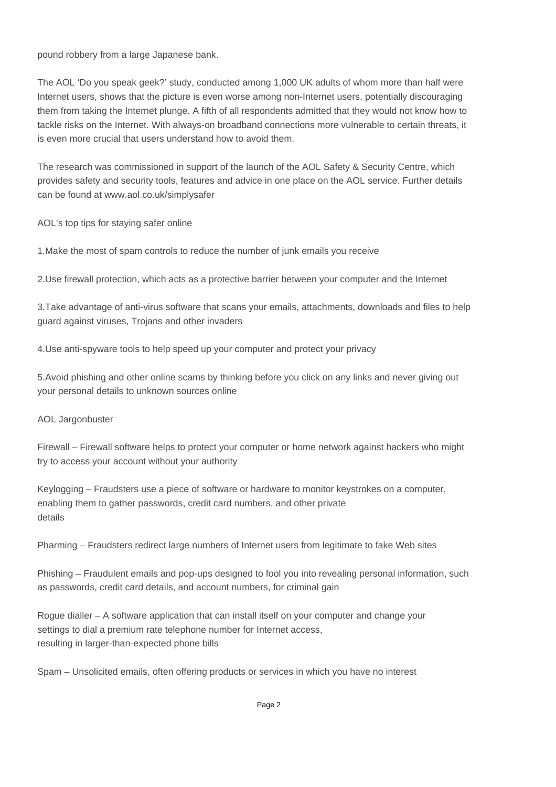pound robbery from a large Japanese bank.

The AOL 'Do you speak geek?' study, conducted among 1,000 UK adults of whom more than half were Internet users, shows that the picture is even worse among non-Internet users, potentially discouraging them from taking the Internet plunge. A fifth of all respondents admitted that they would not know how to tackle risks on the Internet. With always-on broadband connections more vulnerable to certain threats, it is even more crucial that users understand how to avoid them.

The research was commissioned in support of the launch of the AOL Safety & Security Centre, which provides safety and security tools, features and advice in one place on the AOL service. Further details can be found at www.aol.co.uk/simplysafer

AOL's top tips for staying safer online

1. Make the most of spam controls to reduce the number of junk emails you receive

2. Use firewall protection, which acts as a protective barrier between your computer and the Internet

3. Take advantage of anti-virus software that scans your emails, attachments, downloads and files to help guard against viruses, Trojans and other invaders

4. Use anti-spyware tools to help speed up your computer and protect your privacy

5. Avoid phishing and other online scams by thinking before you click on any links and never giving out your personal details to unknown sources online

## AOL Jargonbuster

Firewall – Firewall software helps to protect your computer or home network against hackers who might try to access your account without your authority

Keylogging – Fraudsters use a piece of software or hardware to monitor keystrokes on a computer, enabling them to gather passwords, credit card numbers, and other private details

Pharming – Fraudsters redirect large numbers of Internet users from legitimate to fake Web sites

Phishing – Fraudulent emails and pop-ups designed to fool you into revealing personal information, such as passwords, credit card details, and account numbers, for criminal gain

Rogue dialler – A software application that can install itself on your computer and change your settings to dial a premium rate telephone number for Internet access, resulting in larger-than-expected phone bills

Spam – Unsolicited emails, often offering products or services in which you have no interest